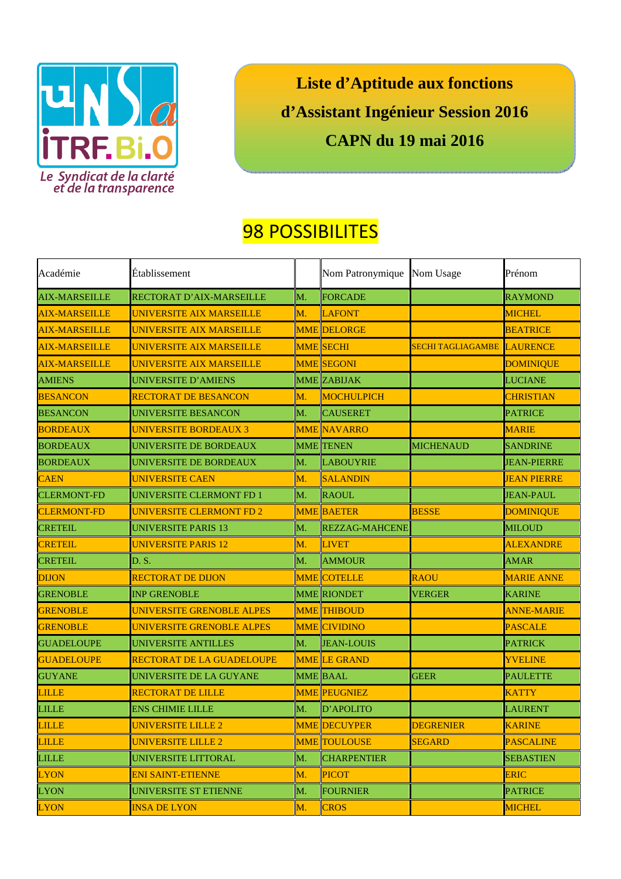

**Liste d'Aptitude aux fonctions d'Assistant Ingénieur Session 2016 CAPN du 19 mai 2016** 

## 98 POSSIBILITES

| Académie             | Établissement                    |    | Nom Patronymique      | Nom Usage                  | Prénom             |
|----------------------|----------------------------------|----|-----------------------|----------------------------|--------------------|
| <b>AIX-MARSEILLE</b> | <b>RECTORAT D'AIX-MARSEILLE</b>  | M. | <b>FORCADE</b>        |                            | <b>RAYMOND</b>     |
| <b>AIX-MARSEILLE</b> | <b>UNIVERSITE AIX MARSEILLE</b>  | M. | <b>LAFONT</b>         |                            | <b>MICHEL</b>      |
| <b>AIX-MARSEILLE</b> | <b>UNIVERSITE AIX MARSEILLE</b>  |    | <b>MME DELORGE</b>    |                            | <b>BEATRICE</b>    |
| <b>AIX-MARSEILLE</b> | UNIVERSITE AIX MARSEILLE         |    | <b>MME SECHI</b>      | SECHI TAGLIAGAMBE LAURENCE |                    |
| <b>AIX-MARSEILLE</b> | <b>UNIVERSITE AIX MARSEILLE</b>  |    | <b>MME SEGONI</b>     |                            | <b>DOMINIQUE</b>   |
| <b>AMIENS</b>        | <b>UNIVERSITE D'AMIENS</b>       |    | <b>MME ZABIJAK</b>    |                            | <b>LUCIANE</b>     |
| <b>BESANCON</b>      | <b>RECTORAT DE BESANCON</b>      | M. | <b>MOCHULPICH</b>     |                            | <b>CHRISTIAN</b>   |
| <b>BESANCON</b>      | <b>UNIVERSITE BESANCON</b>       | M. | <b>CAUSERET</b>       |                            | <b>PATRICE</b>     |
| <b>BORDEAUX</b>      | <b>UNIVERSITE BORDEAUX 3</b>     |    | <b>MME NAVARRO</b>    |                            | <b>MARIE</b>       |
| <b>BORDEAUX</b>      | UNIVERSITE DE BORDEAUX           |    | <b>MME</b> TENEN      | <b>MICHENAUD</b>           | <b>SANDRINE</b>    |
| <b>BORDEAUX</b>      | UNIVERSITE DE BORDEAUX           | M. | <b>LABOUYRIE</b>      |                            | <b>JEAN-PIERRE</b> |
| <b>CAEN</b>          | <b>UNIVERSITE CAEN</b>           | M. | <b>SALANDIN</b>       |                            | <b>JEAN PIERRE</b> |
| <b>CLERMONT-FD</b>   | UNIVERSITE CLERMONT FD 1         | M. | <b>RAOUL</b>          |                            | <b>JEAN-PAUL</b>   |
| <b>CLERMONT-FD</b>   | UNIVERSITE CLERMONT FD 2         |    | <b>MME BAETER</b>     | <b>BESSE</b>               | <b>DOMINIQUE</b>   |
| <b>CRETEIL</b>       | <b>UNIVERSITE PARIS 13</b>       | M. | <b>REZZAG-MAHCENE</b> |                            | <b>MILOUD</b>      |
| <b>CRETEIL</b>       | <b>UNIVERSITE PARIS 12</b>       | M. | <b>LIVET</b>          |                            | <b>ALEXANDRE</b>   |
| <b>CRETEIL</b>       | D.S.                             | M. | <b>AMMOUR</b>         |                            | <b>AMAR</b>        |
| <b>DIJON</b>         | <b>RECTORAT DE DIJON</b>         |    | <b>MME COTELLE</b>    | <b>RAOU</b>                | <b>MARIE ANNE</b>  |
| <b>GRENOBLE</b>      | <b>INP GRENOBLE</b>              |    | <b>MME RIONDET</b>    | <b>VERGER</b>              | <b>KARINE</b>      |
| <b>GRENOBLE</b>      | UNIVERSITE GRENOBLE ALPES        |    | <b>MME THIBOUD</b>    |                            | <b>ANNE-MARIE</b>  |
| <b>GRENOBLE</b>      | UNIVERSITE GRENOBLE ALPES        |    | <b>MME CIVIDINO</b>   |                            | <b>PASCALE</b>     |
| <b>GUADELOUPE</b>    | <b>UNIVERSITE ANTILLES</b>       | M. | <b>JEAN-LOUIS</b>     |                            | <b>PATRICK</b>     |
| <b>GUADELOUPE</b>    | <b>RECTORAT DE LA GUADELOUPE</b> |    | <b>MME LE GRAND</b>   |                            | <b>YVELINE</b>     |
| <b>GUYANE</b>        | UNIVERSITE DE LA GUYANE          |    | <b>MME BAAL</b>       | <b>GEER</b>                | <b>PAULETTE</b>    |
| <b>LILLE</b>         | <b>RECTORAT DE LILLE</b>         |    | <b>MME PEUGNIEZ</b>   |                            | <b>KATTY</b>       |
| <b>LILLE</b>         | <b>ENS CHIMIE LILLE</b>          | M. | D'APOLITO             |                            | <b>LAURENT</b>     |
| <b>LILLE</b>         | UNIVERSITE LILLE 2               |    | <b>MME DECUYPER</b>   | <b>DEGRENIER</b>           | <b>KARINE</b>      |
| <b>LILLE</b>         | UNIVERSITE LILLE 2               |    | <b>MME TOULOUSE</b>   | <b>SEGARD</b>              | <b>PASCALINE</b>   |
| <b>LILLE</b>         | UNIVERSITE LITTORAL              | M. | <b>CHARPENTIER</b>    |                            | <b>SEBASTIEN</b>   |
| <b>LYON</b>          | <b>ENI SAINT-ETIENNE</b>         | M. | <b>PICOT</b>          |                            | <b>ERIC</b>        |
| <b>LYON</b>          | UNIVERSITE ST ETIENNE            | M. | FOURNIER              |                            | <b>PATRICE</b>     |
| <b>LYON</b>          | <b>INSA DE LYON</b>              | M. | <b>CROS</b>           |                            | <b>MICHEL</b>      |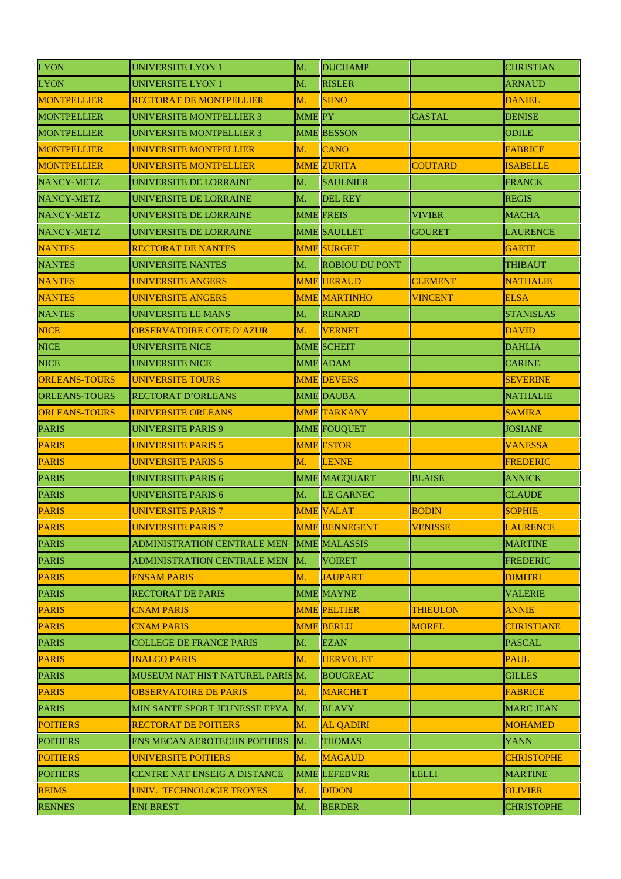| <b>LYON</b>          | <b>UNIVERSITE LYON 1</b>            | M.                | <b>DUCHAMP</b>        |                 | <b>CHRISTIAN</b>  |
|----------------------|-------------------------------------|-------------------|-----------------------|-----------------|-------------------|
| <b>LYON</b>          | <b>UNIVERSITE LYON 1</b>            | M.                | <b>RISLER</b>         |                 | <b>ARNAUD</b>     |
| <b>MONTPELLIER</b>   | <b>RECTORAT DE MONTPELLIER</b>      | M.                | <b>SIINO</b>          |                 | <b>DANIEL</b>     |
| <b>MONTPELLIER</b>   | <b>UNIVERSITE MONTPELLIER 3</b>     | MME <sub>PY</sub> |                       | <b>GASTAL</b>   | <b>DENISE</b>     |
| <b>MONTPELLIER</b>   | <b>UNIVERSITE MONTPELLIER 3</b>     |                   | <b>MME BESSON</b>     |                 | <b>ODILE</b>      |
| <b>MONTPELLIER</b>   | UNIVERSITE MONTPELLIER              | M.                | <b>CANO</b>           |                 | <b>FABRICE</b>    |
| <b>MONTPELLIER</b>   | UNIVERSITE MONTPELLIER              |                   | <b>MME ZURITA</b>     | <b>COUTARD</b>  | <b>ISABELLE</b>   |
| <b>NANCY-METZ</b>    | UNIVERSITE DE LORRAINE              | M.                | <b>SAULNIER</b>       |                 | <b>FRANCK</b>     |
| <b>NANCY-METZ</b>    | <b>UNIVERSITE DE LORRAINE</b>       | M.                | <b>DEL REY</b>        |                 | <b>REGIS</b>      |
| NANCY-METZ           | UNIVERSITE DE LORRAINE              |                   | <b>MME</b> FREIS      | <b>VIVIER</b>   | <b>MACHA</b>      |
| <b>NANCY-METZ</b>    | UNIVERSITE DE LORRAINE              |                   | <b>MME SAULLET</b>    | <b>GOURET</b>   | <b>LAURENCE</b>   |
| <b>NANTES</b>        | <b>RECTORAT DE NANTES</b>           |                   | <b>MME SURGET</b>     |                 | <b>GAETE</b>      |
| <b>NANTES</b>        | <b>UNIVERSITE NANTES</b>            | M.                | <b>ROBIOU DU PONT</b> |                 | <b>THIBAUT</b>    |
| <b>NANTES</b>        | <b>UNIVERSITE ANGERS</b>            |                   | <b>MME HERAUD</b>     | <b>CLEMENT</b>  | <b>NATHALIE</b>   |
| <b>NANTES</b>        | <b>UNIVERSITE ANGERS</b>            |                   | <b>MME MARTINHO</b>   | <b>VINCENT</b>  | <b>ELSA</b>       |
| <b>NANTES</b>        | <b>UNIVERSITE LE MANS</b>           | M.                | <b>RENARD</b>         |                 | <b>STANISLAS</b>  |
| <b>NICE</b>          | <b>OBSERVATOIRE COTE D'AZUR</b>     | М.                | <b>VERNET</b>         |                 | <b>DAVID</b>      |
| <b>NICE</b>          | <b>UNIVERSITE NICE</b>              |                   | <b>MME SCHEIT</b>     |                 | <b>DAHLIA</b>     |
| <b>NICE</b>          | <b>UNIVERSITE NICE</b>              |                   | MME ADAM              |                 | <b>CARINE</b>     |
| <b>ORLEANS-TOURS</b> | <b>UNIVERSITE TOURS</b>             |                   | <b>MME DEVERS</b>     |                 | <b>SEVERINE</b>   |
| <b>ORLEANS-TOURS</b> | <b>RECTORAT D'ORLEANS</b>           |                   | <b>MME DAUBA</b>      |                 | <b>NATHALIE</b>   |
| <b>ORLEANS-TOURS</b> | UNIVERSITE ORLEANS                  |                   | <b>MME TARKANY</b>    |                 | <b>SAMIRA</b>     |
| <b>PARIS</b>         | <b>UNIVERSITE PARIS 9</b>           |                   | <b>MME FOUQUET</b>    |                 | <b>JOSIANE</b>    |
| <b>PARIS</b>         | <b>UNIVERSITE PARIS 5</b>           |                   | <b>MME ESTOR</b>      |                 | <b>VANESSA</b>    |
| <b>PARIS</b>         | <b>UNIVERSITE PARIS 5</b>           | M.                | <b>LENNE</b>          |                 | <b>FREDERIC</b>   |
| <b>PARIS</b>         | <b>UNIVERSITE PARIS 6</b>           |                   | <b>MME MACQUART</b>   | <b>BLAISE</b>   | <b>ANNICK</b>     |
| <b>PARIS</b>         | <b>UNIVERSITE PARIS 6</b>           | M.                | <b>LE GARNEC</b>      |                 | <b>CLAUDE</b>     |
| <b>PARIS</b>         | UNIVERSITE PARIS 7                  |                   | <b>MME VALAT</b>      | <b>BODIN</b>    | <b>SOPHIE</b>     |
| <b>PARIS</b>         | <b>UNIVERSITE PARIS 7</b>           |                   | <b>MME BENNEGENT</b>  | <b>VENISSE</b>  | <b>LAURENCE</b>   |
| <b>PARIS</b>         | ADMINISTRATION CENTRALE MEN         |                   | <b>MME MALASSIS</b>   |                 | <b>MARTINE</b>    |
| <b>PARIS</b>         | <b>ADMINISTRATION CENTRALE MEN</b>  | M.                | <b>VOIRET</b>         |                 | <b>FREDERIC</b>   |
| <b>PARIS</b>         | <b>ENSAM PARIS</b>                  | M.                | <b>JAUPART</b>        |                 | <b>DIMITRI</b>    |
| <b>PARIS</b>         | <b>RECTORAT DE PARIS</b>            |                   | <b>MME MAYNE</b>      |                 | <b>VALERIE</b>    |
| <b>PARIS</b>         | <b>CNAM PARIS</b>                   |                   | <b>MME PELTIER</b>    | <b>THIEULON</b> | <b>ANNIE</b>      |
| <b>PARIS</b>         | <b>CNAM PARIS</b>                   |                   | <b>MME BERLU</b>      | <b>MOREL</b>    | <b>CHRISTIANE</b> |
| <b>PARIS</b>         | <b>COLLEGE DE FRANCE PARIS</b>      | M.                | <b>EZAN</b>           |                 | <b>PASCAL</b>     |
| <b>PARIS</b>         | <b>INALCO PARIS</b>                 | M.                | <b>HERVOUET</b>       |                 | <b>PAUL</b>       |
| <b>PARIS</b>         | MUSEUM NAT HIST NATUREL PARIS M.    |                   | <b>BOUGREAU</b>       |                 | <b>GILLES</b>     |
| <b>PARIS</b>         | <b>OBSERVATOIRE DE PARIS</b>        | M.                | <b>MARCHET</b>        |                 | <b>FABRICE</b>    |
| <b>PARIS</b>         | MIN SANTE SPORT JEUNESSE EPVA       | M.                | <b>BLAVY</b>          |                 | <b>MARC JEAN</b>  |
| <b>POITIERS</b>      | <b>RECTORAT DE POITIERS</b>         | М.                | <b>AL QADIRI</b>      |                 | <b>MOHAMED</b>    |
| <b>POITIERS</b>      | <b>ENS MECAN AEROTECHN POITIERS</b> | M.                | <b>THOMAS</b>         |                 | <b>YANN</b>       |
| <b>POITIERS</b>      | <b>UNIVERSITE POITIERS</b>          | М.                | <b>MAGAUD</b>         |                 | <b>CHRISTOPHE</b> |
| <b>POITIERS</b>      | <b>CENTRE NAT ENSEIG A DISTANCE</b> |                   | <b>MME LEFEBVRE</b>   | <b>LELLI</b>    | <b>MARTINE</b>    |
| <b>REIMS</b>         | <b>UNIV. TECHNOLOGIE TROYES</b>     | M.                | <b>DIDON</b>          |                 | <b>OLIVIER</b>    |
| <b>RENNES</b>        | <b>ENI BREST</b>                    | M.                | <b>BERDER</b>         |                 | <b>CHRISTOPHE</b> |